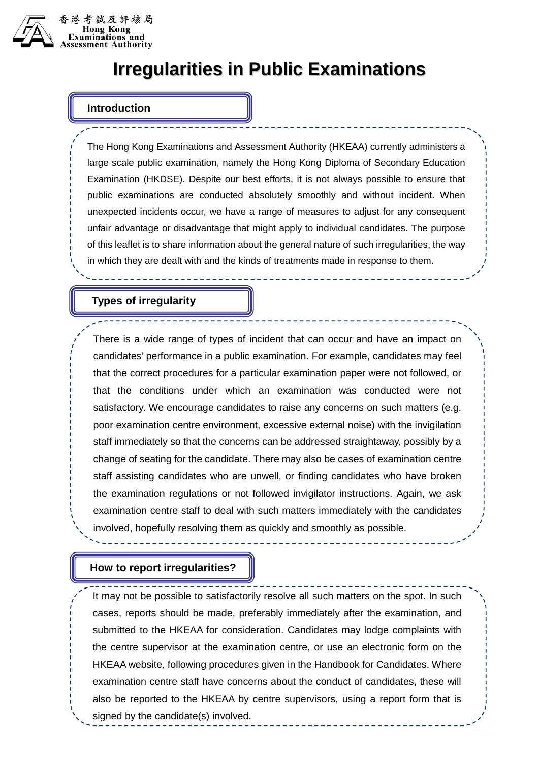

# **Irregularities in Public Examinations**

# **Introduction**

The Hong Kong Examinations and Assessment Authority (HKEAA) currently administers a large scale public examination, namely the Hong Kong Diploma of Secondary Education Examination (HKDSE). Despite our best efforts, it is not always possible to ensure that public examinations are conducted absolutely smoothly and without incident. When unexpected incidents occur, we have a range of measures to adjust for any consequent unfair advantage or disadvantage that might apply to individual candidates. The purpose of this leaflet is to share information about the general nature of such irregularities, the way in which they are dealt with and the kinds of treatments made in response to them.

#### **Types of irregularity**

There is a wide range of types of incident that can occur and have an impact on candidates' performance in a public examination. For example, candidates may feel that the correct procedures for a particular examination paper were not followed, or that the conditions under which an examination was conducted were not satisfactory. We encourage candidates to raise any concerns on such matters (e.g. poor examination centre environment, excessive external noise) with the invigilation staff immediately so that the concerns can be addressed straightaway, possibly by a change of seating for the candidate. There may also be cases of examination centre staff assisting candidates who are unwell, or finding candidates who have broken the examination regulations or not followed invigilator instructions. Again, we ask examination centre staff to deal with such matters immediately with the candidates involved, hopefully resolving them as quickly and smoothly as possible.

# **How to report irregularities?**

It may not be possible to satisfactorily resolve all such matters on the spot. In such cases, reports should be made, preferably immediately after the examination, and submitted to the HKEAA for consideration. Candidates may lodge complaints with the centre supervisor at the examination centre, or use an electronic form on the HKEAA website, following procedures given in the Handbook for Candidates. Where examination centre staff have concerns about the conduct of candidates, these will also be reported to the HKEAA by centre supervisors, using a report form that is signed by the candidate(s) involved.